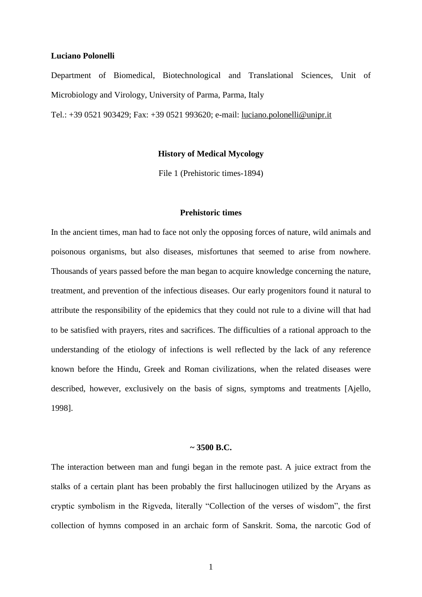## **Luciano Polonelli**

Department of Biomedical, Biotechnological and Translational Sciences, Unit of Microbiology and Virology, University of Parma, Parma, Italy

Tel.: +39 0521 903429; Fax: +39 0521 993620; e-mail: [luciano.polonelli@unipr.it](mailto:luciano.polonelli@unipr.it)

# **History of Medical Mycology**

File 1 (Prehistoric times-1894)

## **Prehistoric times**

In the ancient times, man had to face not only the opposing forces of nature, wild animals and poisonous organisms, but also diseases, misfortunes that seemed to arise from nowhere. Thousands of years passed before the man began to acquire knowledge concerning the nature, treatment, and prevention of the infectious diseases. Our early progenitors found it natural to attribute the responsibility of the epidemics that they could not rule to a divine will that had to be satisfied with prayers, rites and sacrifices. The difficulties of a rational approach to the understanding of the etiology of infections is well reflected by the lack of any reference known before the Hindu, Greek and Roman civilizations, when the related diseases were described, however, exclusively on the basis of signs, symptoms and treatments [Ajello, 1998].

# **~ 3500 B.C.**

The interaction between man and fungi began in the remote past. A juice extract from the stalks of a certain plant has been probably the first hallucinogen utilized by the Aryans as cryptic symbolism in the Rigveda, literally "Collection of the verses of wisdom", the first collection of hymns composed in an archaic form of Sanskrit. Soma, the narcotic God of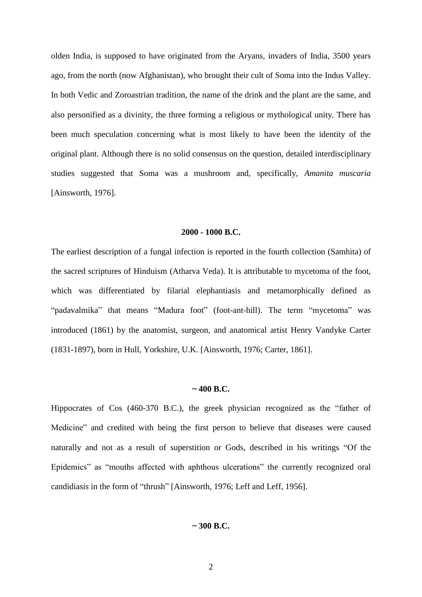olden India, is supposed to have originated from the Aryans, invaders of India, 3500 years ago, from the north (now Afghanistan), who brought their cult of Soma into the Indus Valley. In both Vedic and [Zoroastrian](http://en.wikipedia.org/wiki/Zoroastrian) tradition, the name of the drink and the plant are the same, and also personified as a divinity, the three forming a religious or mythological unity. There has been much speculation concerning what is most likely to have been the [identity of the](http://en.wikipedia.org/wiki/Botanical_identity_of_Soma-Haoma)  [original plant.](http://en.wikipedia.org/wiki/Botanical_identity_of_Soma-Haoma) Although there is no solid consensus on the question, detailed interdisciplinary studies suggested that Soma was a mushroom and, specifically, *Amanita muscaria* [Ainsworth, 1976].

### **2000 - 1000 B.C.**

The earliest description of a fungal infection is reported in the fourth collection (Samhita) of the sacred scriptures of Hinduism (Atharva Veda). It is attributable to mycetoma of the foot, which was differentiated by filarial elephantiasis and metamorphically defined as "padavalmika" that means "Madura foot" (foot-ant-hill). The term "mycetoma" was introduced (1861) by the anatomist, surgeon, and anatomical artist Henry Vandyke Carter (1831-1897), born in Hull, Yorkshire, U.K. [Ainsworth, 1976; Carter, 1861].

## **~ 400 B.C.**

Hippocrates of Cos (460-370 B.C.), the greek physician recognized as the "father of Medicine" and credited with being the first person to believe that diseases were caused naturally and not as a result of superstition or Gods, described in his writings "Of the Epidemics" as "mouths affected with aphthous ulcerations" the currently recognized oral candidiasis in the form of "thrush" [Ainsworth, 1976; Leff and Leff, 1956].

# **~ 300 B.C.**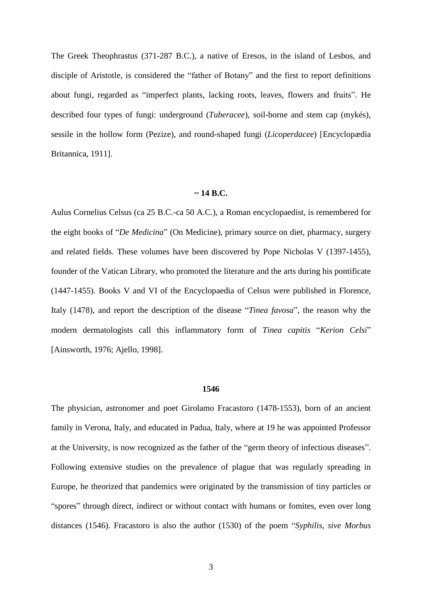The Greek Theophrastus (371-287 B.C.), a native of Eresos, in the island of Lesbos, and disciple of Aristotle, is considered the "father of Botany" and the first to report definitions about fungi, regarded as "imperfect plants, lacking roots, leaves, flowers and fruits". He described four types of fungi: underground (*Tuberacee*), soil-borne and stem cap (mykés), sessile in the hollow form (Pezize), and round-shaped fungi (*Licoperdacee*) [Encyclopædia Britannica, 1911].

### **~ 14 B.C.**

Aulus Cornelius Celsus (ca 25 B.C.-ca 50 A.C.), a Roman encyclopaedist, is remembered for the eight books of "*De Medicina*" (On Medicine), primary source on [diet,](http://en.wikipedia.org/wiki/Diet_(nutrition)) [pharmacy,](http://en.wikipedia.org/wiki/Pharmacy) [surgery](http://en.wikipedia.org/wiki/Surgery) and related fields. These volumes have been discovered by Pope Nicholas V (1397-1455), founder of the Vatican Library, who promoted the literature and the arts during his pontificate (1447-1455). Books V and VI of the Encyclopaedia of Celsus were published in Florence, Italy (1478), and report the description of the disease "*Tinea favosa*", the reason why the modern dermatologists call this inflammatory form of *Tinea capitis* "*Kerion Celsi*" [Ainsworth, 1976; Ajello, 1998].

#### **1546**

The physician, astronomer and poet Girolamo Fracastoro (1478-1553), born of an ancient family in [Verona,](http://en.wikipedia.org/wiki/Verona) Italy, and educated in [Padua,](http://en.wikipedia.org/wiki/Padua) Italy, where at 19 he was appointed [Professor](http://en.wikipedia.org/wiki/Professor) at the [University,](http://en.wikipedia.org/wiki/University_of_Padua) is now recognized as the father of the "germ theory of infectious diseases". Following extensive studies on the prevalence of plague that was regularly spreading in Europe, he theorized that pandemics were originated by the transmission of tiny particles or "spores" through direct, indirect or without contact with humans or fomites, even over long distances (1546). Fracastoro is also the author (1530) of the poem "*Syphilis, sive Morbus*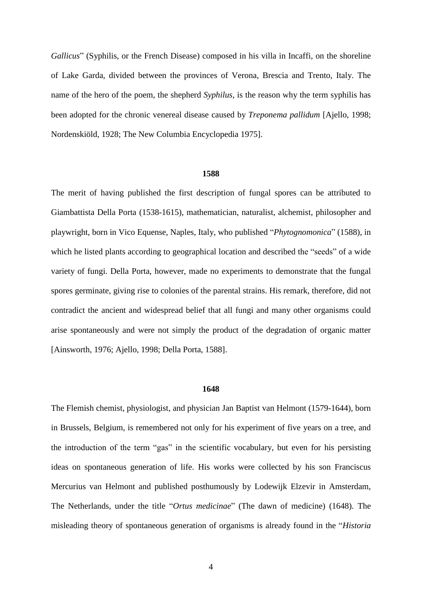*Gallicus*" (Syphilis, or the French Disease) composed in his villa in Incaffi, on the shoreline of Lake Garda, divided between the provinces of [Verona,](http://en.wikipedia.org/wiki/Province_of_Verona) [Brescia](http://en.wikipedia.org/wiki/Province_of_Brescia) and Trento, Italy. The name of the hero of the poem, the shepherd *Syphilus*, is the reason why the term syphilis has been adopted for the chronic venereal disease caused by *Treponema pallidum* [Ajello, 1998; Nordenskiöld, 1928; The New Columbia Encyclopedia 1975].

#### **1588**

The merit of having published the first description of fungal spores can be attributed to Giambattista Della Porta (1538-1615), mathematician, naturalist, alchemist, philosopher and playwright, born in Vico Equense, Naples, Italy, who published "*Phytognomonica*" (1588), in which he listed plants according to geographical location and described the "seeds" of a wide variety of fungi. Della Porta, however, made no experiments to demonstrate that the fungal spores germinate, giving rise to colonies of the parental strains. His remark, therefore, did not contradict the ancient and widespread belief that all fungi and many other organisms could arise spontaneously and were not simply the product of the degradation of organic matter [Ainsworth, 1976; Ajello, 1998; Della Porta, 1588].

#### **1648**

The Flemish chemist, physiologist, and physician Jan Baptist van Helmont (1579-1644), born in Brussels, Belgium, is remembered not only for his experiment of five years on a tree, and the introduction of the term "gas" in the scientific vocabulary, but even for his persisting ideas on spontaneous generation of life. His works were collected by his son Franciscus Mercurius van Helmont and published posthumously by Lodewijk Elzevir in Amsterdam, The Netherlands, under the title "*Ortus medicinae*" (The dawn of medicine) (1648). The misleading theory of spontaneous generation of organisms is already found in the "*Historia*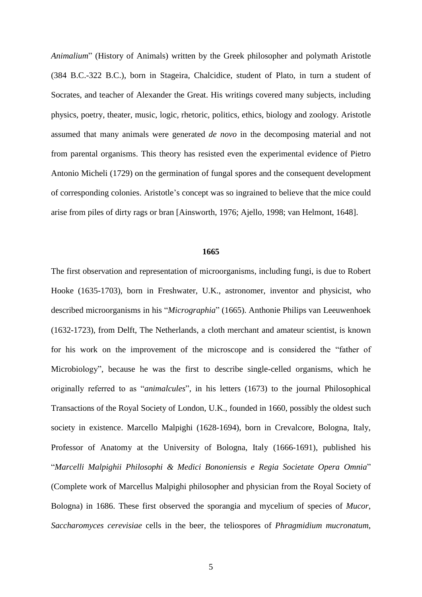*Animalium*" (History of Animals) written by the Greek philosopher and polymath Aristotle (384 B.C.-322 B.C.), born in [Stageira,](http://en.wikipedia.org/wiki/Stageira) [Chalcidice,](http://en.wikipedia.org/wiki/Chalcidice) student of [Plato,](http://en.wikipedia.org/wiki/Plato) in turn a student of Socrates, and teacher of [Alexander the Great.](http://en.wikipedia.org/wiki/Alexander_the_Great) His writings covered many subjects, including [physics,](http://en.wikipedia.org/wiki/Physics_(Aristotle)) [poetry,](http://en.wikipedia.org/wiki/Poetics_(Aristotle)) [theater,](http://en.wikipedia.org/wiki/Theater) [music,](http://en.wikipedia.org/wiki/Music) [logic,](http://en.wikipedia.org/wiki/Logic) [rhetoric,](http://en.wikipedia.org/wiki/Rhetoric) [politics,](http://en.wikipedia.org/wiki/Politics) [ethics,](http://en.wikipedia.org/wiki/Ethics) [biology](http://en.wikipedia.org/wiki/Biology) and [zoology.](http://en.wikipedia.org/wiki/Zoology) Aristotle assumed that many animals were generated *de novo* in the decomposing material and not from parental organisms. This theory has resisted even the experimental evidence of Pietro Antonio Micheli (1729) on the germination of fungal spores and the consequent development of corresponding colonies. Aristotle's concept was so ingrained to believe that the mice could arise from piles of dirty rags or bran [Ainsworth, 1976; Ajello, 1998; van Helmont, 1648].

# **1665**

The first observation and representation of microorganisms, including fungi, is due to Robert Hooke (1635-1703), born in Freshwater, U.K., astronomer, inventor and physicist, who described microorganisms in his "*Micrographia*" (1665). Anthonie Philips van Leeuwenhoek (1632-1723), from Delft, The Netherlands, a cloth merchant and amateur scientist, is known for his work on the improvement of the [microscope](http://en.wikipedia.org/wiki/Microscope) and is considered the "father of Microbiology", because he was the first to describe single-celled organisms, which he originally referred to as "*animalcules*", in his letters (1673) to the journal Philosophical Transactions of the Royal Society of London, U.K., founded in 1660, possibly the oldest such society in existence. Marcello Malpighi (1628-1694), born in Crevalcore, Bologna, Italy, Professor of Anatomy at the University of Bologna, Italy (1666-1691), published his "*Marcelli Malpighii Philosophi & Medici Bononiensis e Regia Societate Opera Omnia*" (Complete work of Marcellus Malpighi philosopher and physician from the Royal Society of Bologna) in 1686. These first observed the sporangia and mycelium of species of *Mucor*, *Saccharomyces cerevisiae* cells in the beer, the teliospores of *Phragmidium mucronatum*,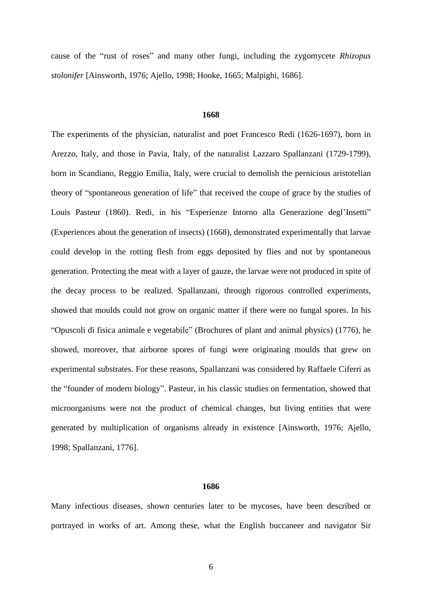cause of the "rust of roses" and many other fungi, including the zygomycete *Rhizopus stolonifer* [Ainsworth, 1976; Ajello, 1998; Hooke, 1665; Malpighi, 1686].

# **1668**

The experiments of the physician, naturalist and poet Francesco Redi (1626-1697), born in Arezzo, Italy, and those in Pavia, Italy, of the naturalist Lazzaro Spallanzani (1729-1799), born in Scandiano, Reggio Emilia, Italy, were crucial to demolish the pernicious aristotelian theory of "spontaneous generation of life" that received the coupe of grace by the studies of Louis Pasteur (1860). Redi, in his ["Esperienze Intorno alla Generazione degl'Insetti"](http://it.wikisource.org/wiki/Esperienze_intorno_alla_generazione_degl%27insetti) (Experiences about the generation of insects) (1668), demonstrated experimentally that larvae could develop in the rotting flesh from eggs deposited by flies and not by spontaneous generation. Protecting the meat with a layer of gauze, the larvae were not produced in spite of the decay process to be realized. Spallanzani, through rigorous controlled experiments, showed that moulds could not grow on organic matter if there were no fungal spores. In his "Opuscoli di fisica animale e vegetabile" (Brochures of plant and animal physics) (1776), he showed, moreover, that airborne spores of fungi were originating moulds that grew on experimental substrates. For these reasons, Spallanzani was considered by Raffaele Ciferri as the "founder of modern biology". Pasteur, in his classic studies on fermentation, showed that microorganisms were not the product of chemical changes, but living entities that were generated by multiplication of organisms already in existence [Ainsworth, 1976; Ajello, 1998; Spallanzani, 1776].

## **1686**

Many infectious diseases, shown centuries later to be mycoses, have been described or portrayed in works of art. Among these, what the English buccaneer and navigator Sir

6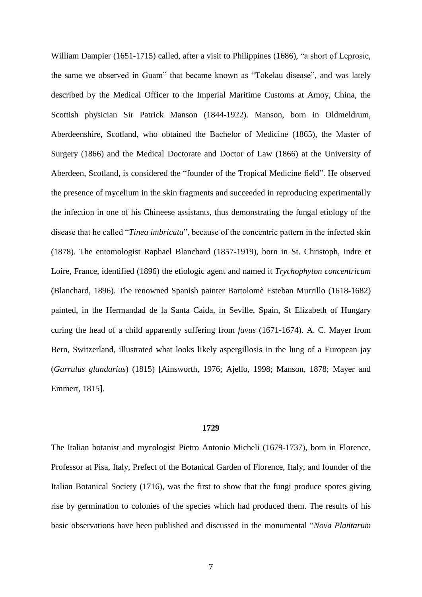William Dampier (1651-1715) called, after a visit to Philippines (1686), "a short of Leprosie, the same we observed in Guam" that became known as "Tokelau disease", and was lately described by the Medical Officer to the Imperial Maritime Customs at Amoy, China, the Scottish physician Sir Patrick Manson (1844-1922). Manson, born in [Oldmeldrum,](http://en.wikipedia.org/wiki/Oldmeldrum) [Aberdeenshire,](http://en.wikipedia.org/wiki/Aberdeenshire) Scotland, who obtained the Bachelor of [Medicine](http://en.wikipedia.org/wiki/Medicine) (1865), the Master of [Surgery](http://en.wikipedia.org/wiki/Surgery) (1866) and the Medical Doctorate and Doctor of [Law](http://en.wikipedia.org/wiki/Law) (1866) at the [University of](http://en.wikipedia.org/wiki/University_of_Aberdeen)  [Aberdeen,](http://en.wikipedia.org/wiki/University_of_Aberdeen) Scotland, is considered the "founder of the [Tropical Medicine](http://en.wikipedia.org/wiki/Tropical_medicine) field". He observed the presence of mycelium in the skin fragments and succeeded in reproducing experimentally the infection in one of his Chineese assistants, thus demonstrating the fungal etiology of the disease that he called "*Tinea imbricata*", because of the concentric pattern in the infected skin (1878). The [entomologist](http://en.wikipedia.org/wiki/Entomologist) Raphael Blanchard (1857-1919), born in St. [Christoph,](http://en.wikipedia.org/wiki/Saint-Christophe-sur-le-Nais) [Indre et](http://en.wikipedia.org/wiki/Indre_et_Loire)  [Loire,](http://en.wikipedia.org/wiki/Indre_et_Loire) France, identified (1896) the etiologic agent and named it *Trychophyton concentricum* (Blanchard, 1896). The renowned Spanish painter Bartolomè Esteban Murrillo (1618-1682) painted, in the Hermandad de la Santa Caida, in Seville, Spain, St Elizabeth of Hungary curing the head of a child apparently suffering from *favus* (1671-1674). A. C. Mayer from Bern, Switzerland, illustrated what looks likely aspergillosis in the lung of a European jay (*Garrulus glandarius*) (1815) [Ainsworth, 1976; Ajello, 1998; Manson, 1878; Mayer and Emmert, 1815].

### **1729**

The Italian botanist and mycologist Pietro Antonio Micheli (1679-1737), born in Florence, Professor at Pisa, Italy, Prefect of the Botanical Garden of Florence, Italy, and founder of the Italian Botanical Society (1716), was the first to show that the fungi produce spores giving rise by germination to colonies of the species which had produced them. The results of his basic observations have been published and discussed in the monumental "*Nova Plantarum*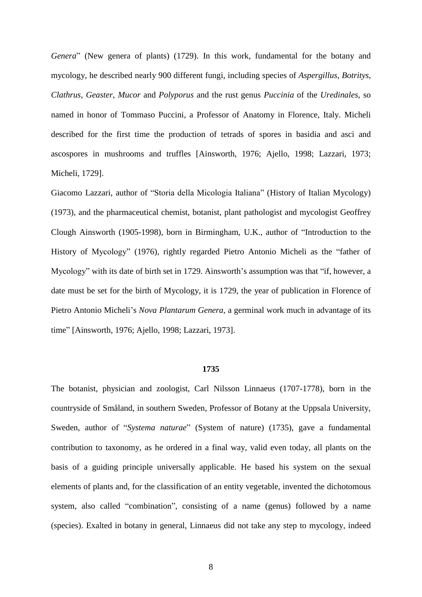*Genera*" (New genera of plants) (1729). In this work, fundamental for the botany and mycology, he described nearly 900 different fungi, including species of *Aspergillus*, *Botritys*, *Clathrus*, *Geaster*, *Mucor* and *Polyporus* and the rust genus *Puccinia* of the *Uredinales*, so named in honor of Tommaso Puccini, a Professor of Anatomy in Florence, Italy. Micheli described for the first time the production of tetrads of spores in basidia and asci and ascospores in mushrooms and truffles [Ainsworth, 1976; Ajello, 1998; Lazzari, 1973; Micheli, 1729].

Giacomo Lazzari, author of "Storia della Micologia Italiana" (History of Italian Mycology) (1973), and the pharmaceutical chemist, botanist, plant pathologist and mycologist Geoffrey Clough Ainsworth (1905-1998), born in Birmingham, U.K., author of "Introduction to the History of Mycology" (1976), rightly regarded Pietro Antonio Micheli as the "father of Mycology" with its date of birth set in 1729. Ainsworth's assumption was that "if, however, a date must be set for the birth of Mycology, it is 1729, the year of publication in Florence of Pietro Antonio Micheli's *Nova Plantarum Genera*, a germinal work much in advantage of its time" [Ainsworth, 1976; Ajello, 1998; Lazzari, 1973].

## **1735**

The [botanist,](http://en.wikipedia.org/wiki/Botanist) physician and [zoologist,](http://en.wikipedia.org/wiki/Zoologist) Carl Nilsson Linnaeus (1707-1778), born in the countryside of [Småland,](http://en.wikipedia.org/wiki/Sm%C3%A5land) in southern Sweden, Professor of Botany at the Uppsala University, Sweden, author of "*Systema naturae*" (System of nature) (1735), gave a fundamental contribution to taxonomy, as he ordered in a final way, valid even today, all plants on the basis of a guiding principle universally applicable. He based his system on the sexual elements of plants and, for the classification of an entity vegetable, invented the dichotomous system, also called "combination", consisting of a name (genus) followed by a name (species). Exalted in botany in general, Linnaeus did not take any step to mycology, indeed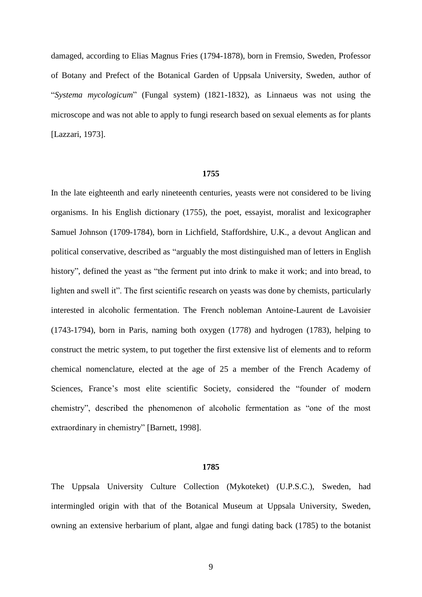damaged, according to Elias Magnus Fries (1794-1878), born in Fremsio, Sweden, Professor of Botany and Prefect of the Botanical Garden of Uppsala University, Sweden, author of "*Systema mycologicum*" (Fungal system) (1821-1832), as Linnaeus was not using the microscope and was not able to apply to fungi research based on sexual elements as for plants [Lazzari, 1973].

#### **1755**

In the late eighteenth and early nineteenth centuries, yeasts were not considered to be living organisms. In his English dictionary (1755), the poet, essayist, moralist and [lexicographer](http://en.wikipedia.org/wiki/Lexicographer) Samuel Johnson (1709-1784), born in Lichfield, Staffordshire, U.K., a devout Anglican and political conservative, described as "arguably the most distinguished man of letters in English history", defined the yeast as "the ferment put into drink to make it work; and into bread, to lighten and swell it". The first scientific research on yeasts was done by chemists, particularly interested in alcoholic fermentation. The French nobleman Antoine-Laurent de Lavoisier (1743-1794), born in Paris, naming both [oxygen](http://en.wikipedia.org/wiki/Oxygen) (1778) and [hydrogen](http://en.wikipedia.org/wiki/Hydrogen) (1783), helping to construct the [metric system,](http://en.wikipedia.org/wiki/Metric_system) to put together the first extensive [list of elements](http://en.wikipedia.org/wiki/History_of_the_periodic_table#Antoine-Laurent_de_Lavoisier) and to reform chemical nomenclature, elected at the age of 25 a member of the [French Academy of](http://en.wikipedia.org/wiki/French_Academy_of_Sciences)  [Sciences,](http://en.wikipedia.org/wiki/French_Academy_of_Sciences) France's most elite scientific Society, considered the "founder of modern chemistry", described the phenomenon of alcoholic fermentation as "one of the most extraordinary in chemistry" [Barnett, 1998].

#### **1785**

The Uppsala University Culture Collection (Mykoteket) (U.P.S.C.), Sweden, had intermingled origin with that of the Botanical Museum at Uppsala University, Sweden, owning an extensive herbarium of plant, algae and fungi dating back (1785) to the botanist

9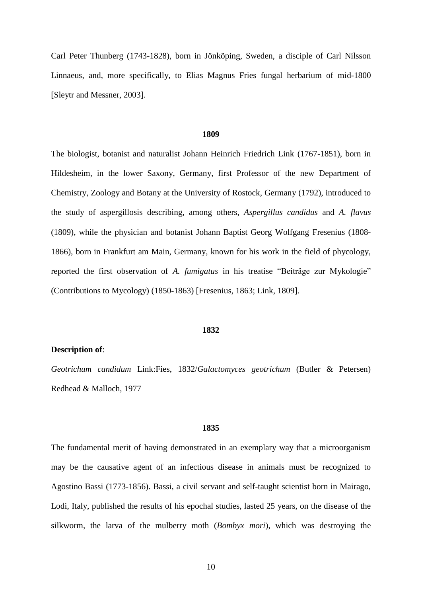Carl Peter Thunberg (1743-1828), born in [Jönköping,](http://en.wikipedia.org/wiki/J%C3%B6nk%C3%B6ping) Sweden, a disciple of Carl Nilsson Linnaeus, and, more specifically, to Elias Magnus Fries fungal herbarium of mid-1800 [Sleytr and Messner, 2003].

#### **1809**

The biologist, botanist and naturalist Johann Heinrich Friedrich Link (1767-1851), born in Hildesheim, in the lower Saxony, Germany, first [Professor](http://en.wikipedia.org/wiki/Professor) of the new Department of [Chemistry,](http://en.wikipedia.org/wiki/Chemistry) [Zoology](http://en.wikipedia.org/wiki/Zoology) and [Botany](http://en.wikipedia.org/wiki/Botany) at the [University of Rostock,](http://en.wikipedia.org/wiki/University_of_Rostock) Germany (1792), introduced to the study of aspergillosis describing, among others, *Aspergillus candidus* and *A. flavus* (1809), while the physician and [botanist](http://en.wikipedia.org/wiki/Botanist) Johann Baptist Georg Wolfgang Fresenius (1808- 1866), born in Frankfurt am Main, Germany, known for his work in the field of [phycology,](http://en.wikipedia.org/wiki/Phycology) reported the first observation of *A. fumigatus* in his treatise "Beiträge zur Mykologie" (Contributions to Mycology) (1850-1863) [Fresenius, 1863; Link, 1809].

#### **1832**

## **Description of**:

*Geotrichum candidum* Link:Fies, 1832/*Galactomyces geotrichum* (Butler & Petersen) Redhead & Malloch, 1977

### **1835**

The fundamental merit of having demonstrated in an exemplary way that a microorganism may be the causative agent of an infectious disease in animals must be recognized to Agostino Bassi (1773-1856). Bassi, a civil servant and self-taught scientist born in Mairago, Lodi, Italy, published the results of his epochal studies, lasted 25 years, on the disease of the silkworm, the larva of the mulberry moth (*Bombyx mori*), which was destroying the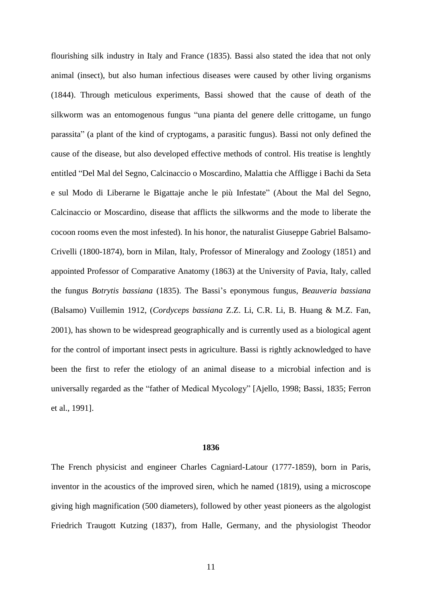flourishing silk industry in Italy and France (1835). Bassi also stated the idea that not only animal (insect), but also human infectious diseases were caused by other living organisms (1844). Through meticulous experiments, Bassi showed that the cause of death of the silkworm was an entomogenous fungus "una pianta del genere delle crittogame, un fungo parassita" (a plant of the kind of cryptogams, a parasitic fungus). Bassi not only defined the cause of the disease, but also developed effective methods of control. His treatise is lenghtly entitled "Del Mal del Segno, Calcinaccio o Moscardino, Malattia che Affligge i Bachi da Seta e sul Modo di Liberarne le Bigattaje anche le più Infestate" (About the Mal del Segno, Calcinaccio or Moscardino, disease that afflicts the silkworms and the mode to liberate the cocoon rooms even the most infested). In his honor, the naturalist Giuseppe Gabriel Balsamo-Crivelli (1800-1874), born in Milan, Italy, Professor of [Mineralogy](http://en.wikipedia.org/wiki/Mineralogy) and [Zoology](http://en.wikipedia.org/wiki/Zoology) (1851) and appointed Professor of [Comparative Anatomy](http://en.wikipedia.org/wiki/Comparative_anatomy) (1863) at the [University of Pavia,](http://en.wikipedia.org/wiki/University_of_Pavia) Italy, called the fungus *Botrytis bassiana* (1835). The Bassi's eponymous fungus, *Beauveria bassiana* (Balsamo) Vuillemin 1912, (*Cordyceps bassiana* Z.Z. Li, C.R. Li, B. Huang & M.Z. Fan, 2001), has shown to be widespread geographically and is currently used as a biological agent for the control of important insect pests in agriculture. Bassi is rightly acknowledged to have been the first to refer the etiology of an animal disease to a microbial infection and is universally regarded as the "father of Medical Mycology" [Ajello, 1998; Bassi, 1835; Ferron et al., 1991].

## **1836**

The French physicist and engineer Charles Cagniard-Latour (1777-1859), born in Paris, inventor in the [acoustics](http://en.wikipedia.org/wiki/Acoustics) of the improved [siren,](http://en.wikipedia.org/wiki/Siren_(noisemaker)) which he named (1819), using a microscope giving high magnification (500 diameters), followed by other yeast pioneers as the algologist Friedrich Traugott Kutzing (1837), from Halle, Germany, and the physiologist Theodor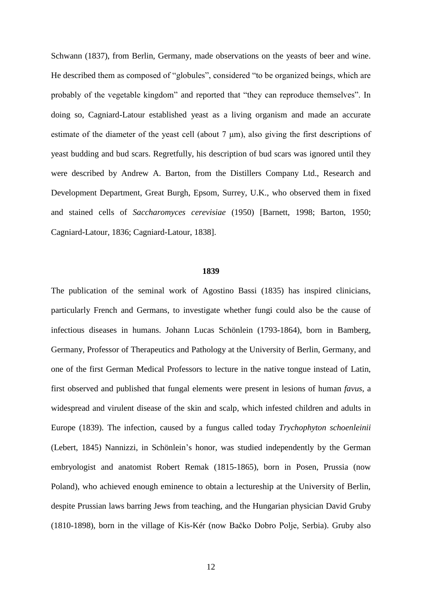Schwann (1837), from Berlin, Germany, made observations on the yeasts of beer and wine. He described them as composed of "globules", considered "to be organized beings, which are probably of the vegetable kingdom" and reported that "they can reproduce themselves". In doing so, Cagniard-Latour established yeast as a living organism and made an accurate estimate of the diameter of the yeast cell (about 7 μm), also giving the first descriptions of yeast budding and bud scars. Regretfully, his description of bud scars was ignored until they were described by Andrew A. Barton, from the Distillers Company Ltd., Research and Development Department, Great Burgh, Epsom, Surrey, U.K., who observed them in fixed and stained cells of *Saccharomyces cerevisiae* (1950) [Barnett, 1998; Barton, 1950; Cagniard-Latour, 1836; Cagniard-Latour, 1838].

#### **1839**

The publication of the seminal work of Agostino Bassi (1835) has inspired clinicians, particularly French and Germans, to investigate whether fungi could also be the cause of infectious diseases in humans. Johann Lucas Schönlein (1793-1864), born in [Bamberg,](http://en.wikipedia.org/wiki/Bamberg,_Germany) Germany, Professor of Therapeutics and [Pathology](http://en.wikipedia.org/wiki/Pathology) at the University of Berlin, Germany, and one of the first German Medical Professors to lecture in the native tongue instead of [Latin,](http://en.wikipedia.org/wiki/Latin) first observed and published that fungal elements were present in lesions of human *favus*, a widespread and virulent disease of the skin and scalp, which infested children and adults in Europe (1839). The infection, caused by a fungus called today *Trychophyton schoenleinii* (Lebert, 1845) Nannizzi, in Schönlein's honor, was studied independently by the German embryologist and anatomist Robert Remak (1815-1865), born in Posen, Prussia (now Poland), who achieved enough eminence to obtain a lectureship at the University of Berlin, despite Prussian laws barring Jews from teaching, and the Hungarian physician David Gruby (1810-1898), born in the village of Kis-Kér (now [Bačko Dobro Polje,](http://en.wikipedia.org/wiki/Ba%C4%8Dko_Dobro_Polje) Serbia). Gruby also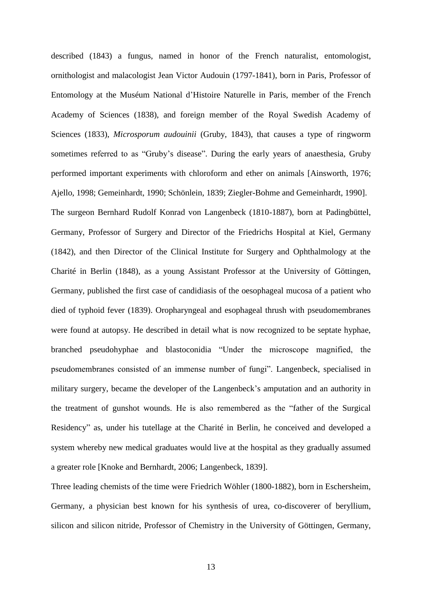described (1843) a fungus, named in honor of the [French](http://en.wikipedia.org/wiki/France) [naturalist,](http://en.wikipedia.org/wiki/Natural_history) [entomologist,](http://en.wikipedia.org/wiki/Entomologist) [ornithologist](http://en.wikipedia.org/wiki/Ornithologist) and [malacologist](http://en.wikipedia.org/wiki/Malacologist) [Jean Victor Audouin](http://en.wikipedia.org/wiki/Jean_Victor_Audouin) (1797-1841), born in Paris, Professor of Entomology at the [Muséum National d'Histoire Naturelle](http://en.wikipedia.org/wiki/Mus%C3%A9um_National_d%27Histoire_Naturelle) in Paris, member of the [French](http://en.wikipedia.org/wiki/French_Academy_of_Sciences)  [Academy of Sciences](http://en.wikipedia.org/wiki/French_Academy_of_Sciences) (1838), and foreign member of the [Royal Swedish Academy of](http://en.wikipedia.org/wiki/Royal_Swedish_Academy_of_Sciences)  [Sciences](http://en.wikipedia.org/wiki/Royal_Swedish_Academy_of_Sciences) (1833), *Microsporum audouinii* (Gruby, 1843), that causes a type of [ringworm](http://en.wikipedia.org/wiki/Ringworm) sometimes referred to as "Gruby's disease". During the early years of [anaesthesia,](http://en.wikipedia.org/wiki/Anaesthesia) Gruby performed important experiments with [chloroform](http://en.wikipedia.org/wiki/Chloroform) and [ether](http://en.wikipedia.org/wiki/Ether) on animals [Ainsworth, 1976; Ajello, 1998; Gemeinhardt, 1990; Schönlein, 1839; Ziegler-Bohme and Gemeinhardt, 1990]. The surgeon Bernhard Rudolf Konrad von Langenbeck (1810-1887), born at [Padingbüttel,](http://en.wikipedia.org/wiki/Padingb%C3%BCttel) Germany, Professor of Surgery and Director of the [Friedrichs Hospital](http://en.wikipedia.org/w/index.php?title=Friedrichs_Hospital&action=edit&redlink=1) at [Kiel,](http://en.wikipedia.org/wiki/Kiel) Germany (1842), and then Director of the Clinical Institute for Surgery and Ophthalmology at the [Charité](http://en.wikipedia.org/wiki/Charit%C3%A9) in Berlin (1848), as a young Assistant Professor at the University of Göttingen, Germany, published the first case of candidiasis of the oesophageal mucosa of a patient who died of typhoid fever (1839). Oropharyngeal and esophageal thrush with pseudomembranes were found at autopsy. He described in detail what is now recognized to be septate hyphae, branched pseudohyphae and blastoconidia "Under the microscope magnified, the pseudomembranes consisted of an immense number of fungi". Langenbeck, specialised in [military surgery,](http://en.wikipedia.org/wiki/Battlefield_medicine) became the developer of the [Langenbeck's amputation](http://en.wikipedia.org/w/index.php?title=Langenbeck%27s_amputation&action=edit&redlink=1) and an authority in the treatment of [gunshot wounds.](http://en.wikipedia.org/wiki/Gunshot_wound) He is also remembered as the "father of the Surgical Residency" as, under his tutellage at the Charité in Berlin, he conceived and developed a system whereby new medical graduates would live at the hospital as they gradually assumed a greater role [Knoke and Bernhardt, 2006; Langenbeck, 1839].

Three leading chemists of the time were Friedrich Wöhler (1800-1882), born in [Eschersheim,](http://en.wikipedia.org/wiki/Eschersheim) Germany, a physician best known for his synthesis of [urea,](http://en.wikipedia.org/wiki/Urea) co-discoverer of [beryllium,](http://en.wikipedia.org/wiki/Beryllium) [silicon](http://en.wikipedia.org/wiki/Silicon) and [silicon nitride,](http://en.wikipedia.org/wiki/Silicon_nitride) Professor of Chemistry in the [University of Göttingen,](http://en.wikipedia.org/wiki/University_of_G%C3%B6ttingen) Germany,

13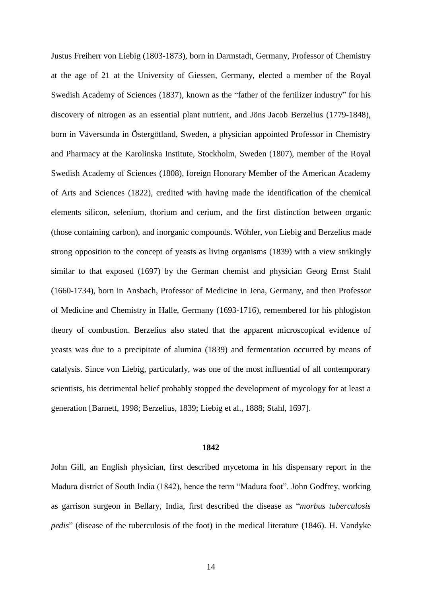Justus [Freiherr](http://en.wikipedia.org/wiki/Freiherr) von Liebig (1803-1873), born in [Darmstadt,](http://en.wikipedia.org/wiki/Darmstadt) Germany, [Professor](http://en.wikipedia.org/wiki/Professor) of Chemistry at the age of 21 at the [University of Giessen,](http://en.wikipedia.org/wiki/University_of_Giessen) Germany, elected a member of the [Royal](http://en.wikipedia.org/wiki/Royal_Swedish_Academy_of_Sciences)  [Swedish Academy of Sciences](http://en.wikipedia.org/wiki/Royal_Swedish_Academy_of_Sciences) (1837), known as the "father of the [fertilizer](http://en.wikipedia.org/wiki/Fertilizer) industry" for his discovery of [nitrogen](http://en.wikipedia.org/wiki/Nitrogen) as an essential [plant](http://en.wikipedia.org/wiki/Plant) [nutrient,](http://en.wikipedia.org/wiki/Nutrient) and Jöns Jacob Berzelius (1779-1848), born in Väversunda in [Östergötland,](http://en.wikipedia.org/wiki/%C3%96sterg%C3%B6tland) Sweden, a physician appointed Professor in Chemistry and Pharmacy at the [Karolinska Institute,](http://en.wikipedia.org/wiki/Karolinska_Institute) Stockholm, Sweden (1807), member of the [Royal](http://en.wikipedia.org/wiki/Royal_Swedish_Academy_of_Sciences)  [Swedish Academy of Sciences](http://en.wikipedia.org/wiki/Royal_Swedish_Academy_of_Sciences) (1808), foreign Honorary Member of the [American Academy](http://en.wikipedia.org/wiki/American_Academy_of_Arts_and_Sciences)  [of Arts and Sciences](http://en.wikipedia.org/wiki/American_Academy_of_Arts_and_Sciences) (1822), credited with having made the identification of the [chemical](http://en.wikipedia.org/wiki/Chemical_element)  [elements](http://en.wikipedia.org/wiki/Chemical_element) [silicon,](http://en.wikipedia.org/wiki/Silicon) [selenium,](http://en.wikipedia.org/wiki/Selenium) [thorium](http://en.wikipedia.org/wiki/Thorium) and [cerium,](http://en.wikipedia.org/wiki/Cerium) and the first distinction between organic (those containing carbon), and inorganic compounds. Wöhler, von Liebig and Berzelius made strong opposition to the concept of yeasts as living organisms (1839) with a view strikingly similar to that exposed (1697) by the German chemist and physician Georg Ernst Stahl (1660-1734), born in Ansbach, Professor of Medicine in Jena, Germany, and then Professor of Medicine and Chemistry in Halle, Germany (1693-1716), remembered for his phlogiston theory of combustion. Berzelius also stated that the apparent microscopical evidence of yeasts was due to a precipitate of alumina (1839) and fermentation occurred by means of catalysis. Since von Liebig, particularly, was one of the most influential of all contemporary scientists, his detrimental belief probably stopped the development of mycology for at least a generation [Barnett, 1998; Berzelius, 1839; Liebig et al., 1888; Stahl, 1697].

### **1842**

John Gill, an English physician, first described mycetoma in his dispensary report in the Madura district of South India (1842), hence the term "Madura foot". John Godfrey, working as garrison surgeon in Bellary, India, first described the disease as "*morbus tuberculosis pedis*" (disease of the tuberculosis of the foot) in the medical literature (1846). H. Vandyke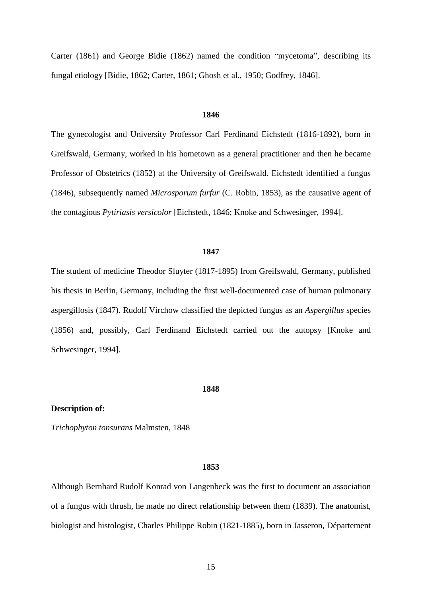Carter (1861) and George Bidie (1862) named the condition "mycetoma", describing its fungal etiology [Bidie, 1862; Carter, 1861; Ghosh et al., 1950; Godfrey, 1846].

# **1846**

The gynecologist and University Professor Carl Ferdinand Eichstedt (1816-1892), born in Greifswald, Germany, worked in his hometown as a general practitioner and then he became Professor of Obstetrics (1852) at the University of Greifswald. Eichstedt identified a fungus (1846), subsequently named *Microsporum furfur* (C. Robin, 1853), as the causative agent of the contagious *Pytiriasis versicolor* [Eichstedt, 1846; Knoke and Schwesinger, 1994].

## **1847**

The student of medicine Theodor Sluyter (1817-1895) from Greifswald, Germany, published his thesis in Berlin, Germany, including the first well-documented case of human pulmonary aspergillosis (1847). Rudolf Virchow classified the depicted fungus as an *Aspergillus* species (1856) and, possibly, Carl Ferdinand Eichstedt carried out the autopsy [Knoke and Schwesinger, 1994].

#### **1848**

### **Description of:**

*Trichophyton tonsurans* Malmsten, 1848

#### **1853**

Although Bernhard Rudolf Konrad von Langenbeck was the first to document an association of a fungus with thrush, he made no direct relationship between them (1839). The [anatomist,](http://en.wikipedia.org/wiki/Anatomist) [biologist](http://en.wikipedia.org/wiki/Biologist) and [histologist,](http://en.wikipedia.org/wiki/Histologist) Charles Philippe Robin (1821-1885), born in [Jasseron,](http://en.wikipedia.org/wiki/Jasseron) Département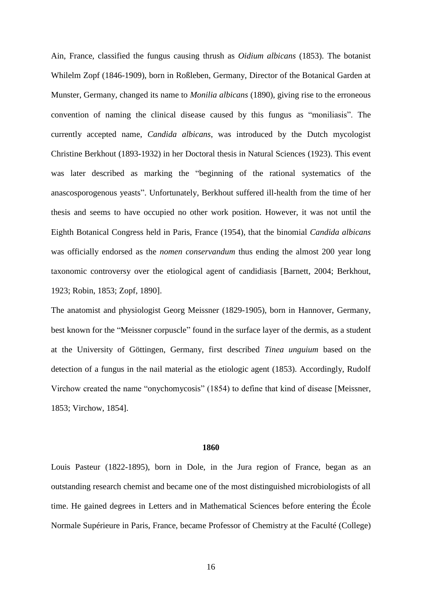[Ain,](http://en.wikipedia.org/wiki/Ain) France, classified the fungus causing thrush as *Oidium albicans* (1853). The botanist Whilelm Zopf (1846-1909), born in Roßleben, Germany, Director of the Botanical Garden at Munster, Germany, changed its name to *Monilia albicans* (1890), giving rise to the erroneous convention of naming the clinical disease caused by this fungus as "moniliasis". The currently accepted name, *Candida albicans*, was introduced by the Dutch mycologist Christine Berkhout (1893-1932) in her Doctoral thesis in Natural Sciences (1923). This event was later described as marking the "beginning of the rational systematics of the anascosporogenous yeasts". Unfortunately, Berkhout suffered ill-health from the time of her thesis and seems to have occupied no other work position. However, it was not until the Eighth Botanical Congress held in Paris, France (1954), that the binomial *Candida albicans* was officially endorsed as the *nomen conservandum* thus ending the almost 200 year long taxonomic controversy over the etiological agent of candidiasis [Barnett, 2004; Berkhout, 1923; Robin, 1853; Zopf, 1890].

The anatomist and physiologist Georg Meissner (1829-1905), born in Hannover, Germany, best known for the "Meissner corpuscle" found in the surface layer of the dermis, as a student at the University of Göttingen, Germany, first described *Tinea unguium* based on the detection of a fungus in the nail material as the etiologic agent (1853). Accordingly, Rudolf Virchow created the name "onychomycosis" (1854) to define that kind of disease [Meissner, 1853; Virchow, 1854].

#### **1860**

Louis Pasteur (1822-1895), born in Dole, in the Jura region of France, began as an outstanding research chemist and became one of the most distinguished microbiologists of all time. He gained degrees in Letters and in Mathematical Sciences before entering the [École](http://en.wikipedia.org/wiki/%C3%89cole_Normale_Sup%C3%A9rieure)  [Normale Supérieure](http://en.wikipedia.org/wiki/%C3%89cole_Normale_Sup%C3%A9rieure) in Paris, France, became Professor of Chemistry at the Faculté (College)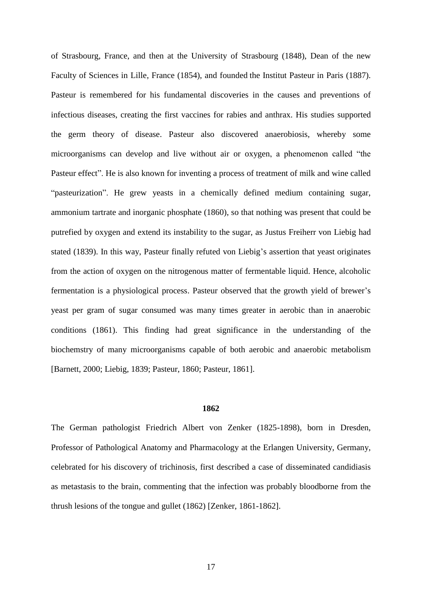of [Strasbourg,](http://en.wikipedia.org/wiki/Strasbourg) France, and then at the [University of Strasbourg](http://en.wikipedia.org/wiki/University_of_Strasbourg) (1848), Dean of the new [Faculty of Sciences in Lille,](http://en.wikipedia.org/wiki/Universit%C3%A9_Lille_Nord_de_France) France (1854), and founded the Institut Pasteur in Paris (1887). Pasteur is remembered for his fundamental discoveries in the causes and preventions of infectious diseases, creating the first [vaccines](http://en.wikipedia.org/wiki/Vaccine) for [rabies](http://en.wikipedia.org/wiki/Rabies) and [anthrax.](http://en.wikipedia.org/wiki/Anthrax) His studies supported the [germ theory of disease.](http://en.wikipedia.org/wiki/Germ_theory_of_disease) Pasteur also discovered [anaerobiosis,](http://en.wikipedia.org/wiki/Anaerobe) whereby some microorganisms can develop and live without air or [oxygen,](http://en.wikipedia.org/wiki/Oxygen) a phenomenon called "the [Pasteur effect"](http://en.wikipedia.org/wiki/Pasteur_effect). He is also known for inventing a process of treatment of milk and wine called ["pasteurization"](http://en.wikipedia.org/wiki/Pasteurization). He grew yeasts in a chemically defined medium containing sugar, ammonium tartrate and inorganic phosphate (1860), so that nothing was present that could be putrefied by oxygen and extend its instability to the sugar, as Justus [Freiherr](http://en.wikipedia.org/wiki/Freiherr) von Liebig had stated (1839). In this way, Pasteur finally refuted von Liebig's assertion that yeast originates from the action of oxygen on the nitrogenous matter of fermentable liquid. Hence, alcoholic fermentation is a physiological process. Pasteur observed that the growth yield of brewer's yeast per gram of sugar consumed was many times greater in aerobic than in anaerobic conditions (1861). This finding had great significance in the understanding of the biochemstry of many microorganisms capable of both aerobic and anaerobic metabolism [Barnett, 2000; Liebig, 1839; Pasteur, 1860; Pasteur, 1861].

## **1862**

The German pathologist Friedrich Albert von Zenker (1825-1898), born in Dresden, [Professor](http://en.wikipedia.org/wiki/Professor) of Pathological Anatomy and [Pharmacology](http://en.wikipedia.org/wiki/Pharmacology) at the [Erlangen](http://en.wikipedia.org/wiki/Erlangen) University, Germany, celebrated for his discovery of [trichinosis,](http://en.wikipedia.org/wiki/Trichinosis) first described a case of disseminated candidiasis as metastasis to the brain, commenting that the infection was probably bloodborne from the thrush lesions of the tongue and gullet (1862) [Zenker, 1861-1862].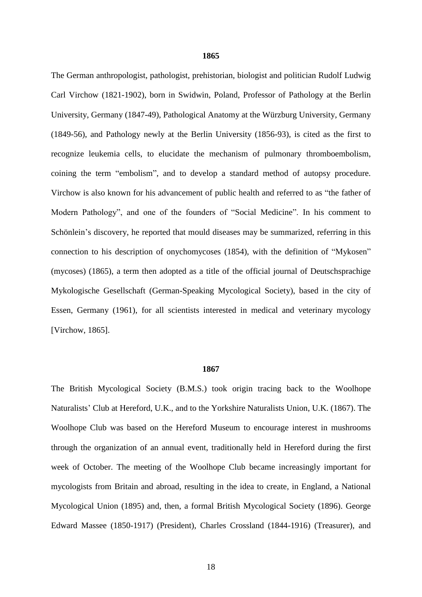#### **1865**

The German [anthropologist,](http://en.wikipedia.org/wiki/Anthropology) [pathologist,](http://en.wikipedia.org/wiki/Pathology) [prehistorian,](http://en.wikipedia.org/wiki/Prehistorian) [biologist](http://en.wikipedia.org/wiki/Biologist) and [politician](http://en.wikipedia.org/wiki/Politician) Rudolf Ludwig Carl Virchow (1821-1902), born in Swidwin, Poland, Professor of [Pathology at the Berlin](http://www.nndb.com/edu/634/000079397/)  [University,](http://www.nndb.com/edu/634/000079397/) Germany (1847-49), Pathological [Anatomy at the Würzburg University, Germany](http://www.nndb.com/edu/627/000071414/) [\(1849-56\),](http://www.nndb.com/edu/627/000071414/) and [Pathology newly at the Berlin University \(1856-93\),](http://www.nndb.com/edu/634/000079397/) is cited as the first to recognize [leukemia](http://en.wikipedia.org/wiki/Leukemia) cells, to elucidate the mechanism of pulmonary [thromboembolism,](http://en.wikipedia.org/wiki/Thromboembolism) coining the term ["embolism"](http://en.wikipedia.org/wiki/Embolism), and to develop a standard method of [autopsy](http://en.wikipedia.org/wiki/Autopsy) procedure. Virchow is also known for his advancement of [public health](http://en.wikipedia.org/wiki/Public_health) and referred to as "the father of Modern Pathology", and one of the founders of ["Social Medicine"](http://en.wikipedia.org/wiki/Social_medicine). In his comment to Schönlein's discovery, he reported that mould diseases may be summarized, referring in this connection to his description of onychomycoses (1854), with the definition of "Mykosen" (mycoses) (1865), a term then adopted as a title of the official journal of Deutschsprachige Mykologische Gesellschaft (German-Speaking Mycological Society), based in the city of Essen, Germany (1961), for all scientists interested in medical and veterinary mycology [Virchow, 1865].

## **1867**

The British Mycological Society (B.M.S.) took origin tracing back to the Woolhope Naturalists' Club at Hereford, U.K., and to the Yorkshire Naturalists Union, U.K. (1867). The Woolhope Club was based on the Hereford Museum to encourage interest in mushrooms through the organization of an annual event, traditionally held in Hereford during the first week of October. The meeting of the Woolhope Club became increasingly important for mycologists from Britain and abroad, resulting in the idea to create, in England, a National Mycological Union (1895) and, then, a formal British Mycological Society (1896). George Edward Massee (1850-1917) (President), Charles Crossland (1844-1916) (Treasurer), and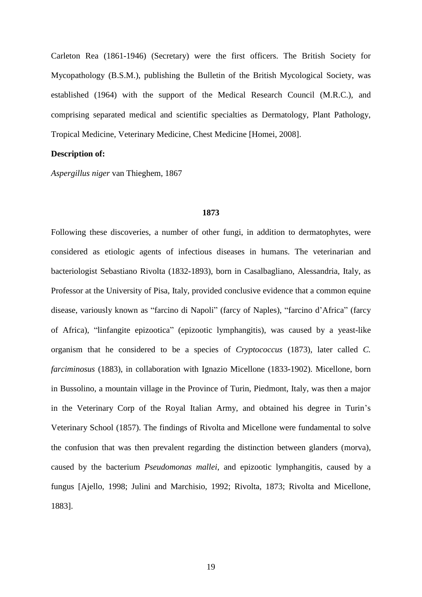Carleton Rea (1861-1946) (Secretary) were the first officers. The British Society for Mycopathology (B.S.M.), publishing the Bulletin of the British Mycological Society, was established (1964) with the support of the Medical Research Council (M.R.C.), and comprising separated medical and scientific specialties as Dermatology, Plant Pathology, Tropical Medicine, Veterinary Medicine, Chest Medicine [Homei, 2008].

# **Description of:**

*Aspergillus niger* van Thieghem, 1867

### **1873**

Following these discoveries, a number of other fungi, in addition to dermatophytes, were considered as etiologic agents of infectious diseases in humans. The veterinarian and bacteriologist Sebastiano Rivolta (1832-1893), born in Casalbagliano, Alessandria, Italy, as Professor at the University of Pisa, Italy, provided conclusive evidence that a common equine disease, variously known as "farcino di Napoli" (farcy of Naples), "farcino d'Africa" (farcy of Africa), "linfangite epizootica" (epizootic lymphangitis), was caused by a yeast-like organism that he considered to be a species of *Cryptococcus* (1873), later called *C. farciminosus* (1883), in collaboration with Ignazio Micellone (1833-1902). Micellone, born in Bussolino, a mountain village in the Province of Turin, Piedmont, Italy, was then a major in the Veterinary Corp of the Royal Italian Army, and obtained his degree in Turin's Veterinary School (1857). The findings of Rivolta and Micellone were fundamental to solve the confusion that was then prevalent regarding the distinction between glanders (morva), caused by the bacterium *Pseudomonas mallei*, and epizootic lymphangitis, caused by a fungus [Ajello, 1998; Julini and Marchisio, 1992; Rivolta, 1873; Rivolta and Micellone, 1883].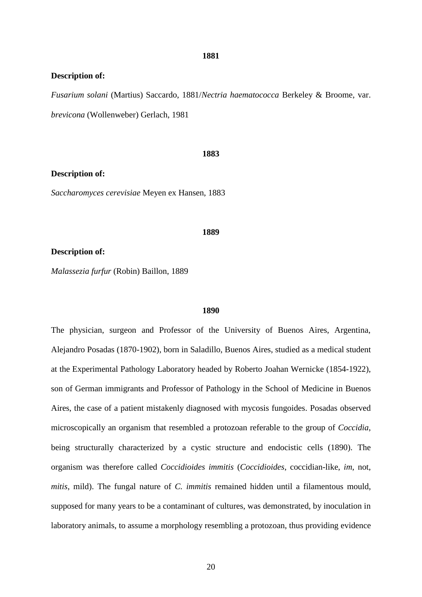### **1881**

## **Description of:**

*Fusarium solani* (Martius) Saccardo, 1881/*Nectria haematococca* Berkeley & Broome, var. *brevicona* (Wollenweber) Gerlach, 1981

#### **1883**

## **Description of:**

*Saccharomyces cerevisiae* Meyen ex Hansen, 1883

#### **1889**

### **Description of:**

*Malassezia furfur* (Robin) Baillon, 1889

#### **1890**

The physician, surgeon and Professor of the University of Buenos Aires, Argentina, Alejandro Posadas (1870-1902), born in Saladillo, Buenos Aires, studied as a medical student at the Experimental Pathology Laboratory headed by Roberto Joahan Wernicke (1854-1922), son of German immigrants and Professor of Pathology in the School of Medicine in Buenos Aires, the case of a patient mistakenly diagnosed with mycosis fungoides. Posadas observed microscopically an organism that resembled a protozoan referable to the group of *Coccidia*, being structurally characterized by a cystic structure and endocistic cells (1890). The organism was therefore called *Coccidioides immitis* (*Coccidioides*, coccidian-like, *im*, not, *mitis*, mild). The fungal nature of *C. immitis* remained hidden until a filamentous mould, supposed for many years to be a contaminant of cultures, was demonstrated, by inoculation in laboratory animals, to assume a morphology resembling a protozoan, thus providing evidence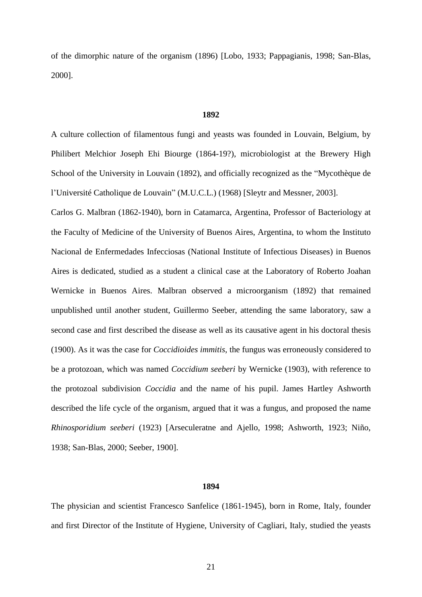of the dimorphic nature of the organism (1896) [Lobo, 1933; Pappagianis, 1998; San-Blas, 2000].

## **1892**

A culture collection of filamentous fungi and yeasts was founded in Louvain, Belgium, by Philibert Melchior Joseph Ehi Biourge (1864-19?), microbiologist at the Brewery High School of the University in Louvain (1892), and officially recognized as the "Mycothèque de l'Université Catholique de Louvain" (M.U.C.L.) (1968) [Sleytr and Messner, 2003].

Carlos G. Malbran (1862-1940), born in Catamarca, Argentina, Professor of Bacteriology at the Faculty of Medicine of the University of Buenos Aires, Argentina, to whom the Instituto Nacional de Enfermedades Infecciosas (National Institute of Infectious Diseases) in Buenos Aires is dedicated, studied as a student a clinical case at the Laboratory of Roberto Joahan Wernicke in Buenos Aires. Malbran observed a microorganism (1892) that remained unpublished until another student, Guillermo Seeber, attending the same laboratory, saw a second case and first described the disease as well as its causative agent in his doctoral thesis (1900). As it was the case for *Coccidioides immitis*, the fungus was erroneously considered to be a protozoan, which was named *Coccidium seeberi* by Wernicke (1903), with reference to the protozoal subdivision *Coccidia* and the name of his pupil. James Hartley Ashworth described the life cycle of the organism, argued that it was a fungus, and proposed the name *Rhinosporidium seeberi* (1923) [Arseculeratne and Ajello, 1998; Ashworth, 1923; Niño, 1938; San-Blas, 2000; Seeber, 1900].

## **1894**

The physician and scientist Francesco Sanfelice (1861-1945), born in Rome, Italy, founder and first Director of the Institute of Hygiene, University of Cagliari, Italy, studied the yeasts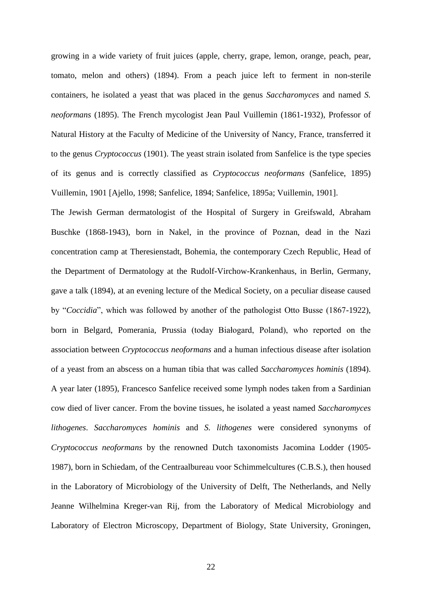growing in a wide variety of fruit juices (apple, cherry, grape, lemon, orange, peach, pear, tomato, melon and others) (1894). From a peach juice left to ferment in non-sterile containers, he isolated a yeast that was placed in the genus *Saccharomyces* and named *S. neoformans* (1895). The French mycologist Jean Paul Vuillemin (1861-1932), Professor of Natural History at the Faculty of Medicine of the University of Nancy, France, transferred it to the genus *Cryptococcus* (1901). The yeast strain isolated from Sanfelice is the type species of its genus and is correctly classified as *Cryptococcus neoformans* (Sanfelice, 1895) Vuillemin, 1901 [Ajello, 1998; Sanfelice, 1894; Sanfelice, 1895a; Vuillemin, 1901].

The Jewish German dermatologist of the Hospital of Surgery in Greifswald, Abraham Buschke (1868-1943), born in Nakel, in the province of Poznan, dead in the Nazi concentration camp at [Theresienstadt,](http://en.wikipedia.org/wiki/Theresienstadt) [Bohemia,](http://en.wikipedia.org/wiki/Bohemia) the contemporary [Czech Republic,](http://en.wikipedia.org/wiki/Czech_Republic) Head of the Department of Dermatology at the Rudolf-Virchow-Krankenhaus, in Berlin, Germany, gave a talk (1894), at an evening lecture of the Medical Society, on a peculiar disease caused by "*Coccidia*", which was followed by another of the pathologist Otto Busse (1867-1922), born in [Belgard,](http://en.wikipedia.org/wiki/Bia%C5%82ogard) [Pomerania,](http://en.wikipedia.org/wiki/Pomerania) [Prussia](http://en.wikipedia.org/wiki/Prussia) (today Białogard, Poland), who reported on the association between *Cryptococcus neoformans* and a human infectious disease after isolation of a yeast from an abscess on a human tibia that was called *Saccharomyces hominis* (1894). A year later (1895), Francesco Sanfelice received some lymph nodes taken from a Sardinian cow died of liver cancer. From the bovine tissues, he isolated a yeast named *Saccharomyces lithogenes*. *Saccharomyces hominis* and *S. lithogenes* were considered synonyms of *Cryptococcus neoformans* by the renowned Dutch taxonomists Jacomina Lodder (1905- 1987), born in Schiedam, of the Centraalbureau voor Schimmelcultures (C.B.S.), then housed in the Laboratory of Microbiology of the University of Delft, The Netherlands, and Nelly Jeanne Wilhelmina Kreger-van Rij, from the Laboratory of Medical Microbiology and Laboratory of Electron Microscopy, Department of Biology, State University, Groningen,